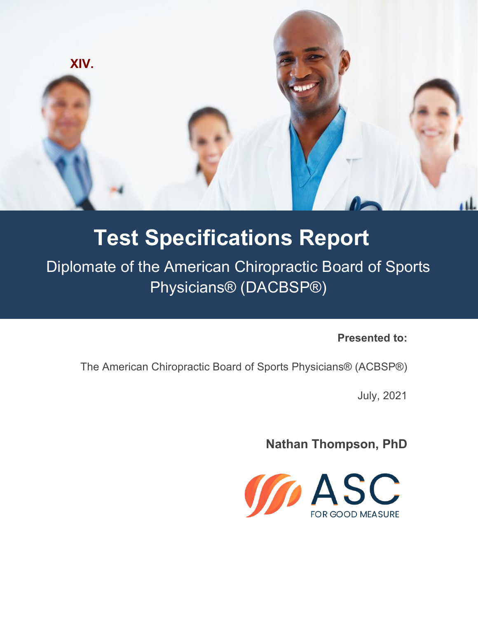

# **Test Specifications Report**

Diplomate of the American Chiropractic Board of Sports Physicians® (DACBSP®)

**Presented to:**

The American Chiropractic Board of Sports Physicians® (ACBSP®)

July, 2021

**Nathan Thompson, PhD**

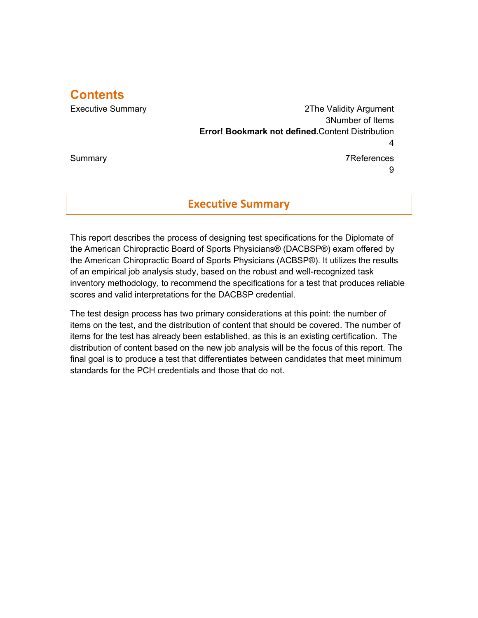## **Contents**

Executive Summary 2The Validity Argument 3Number of Items **Error! Bookmark not defined.**Content Distribution 4 Summary 7References

9

## **Executive Summary**

This report describes the process of designing test specifications for the Diplomate of the American Chiropractic Board of Sports Physicians® (DACBSP®) exam offered by the American Chiropractic Board of Sports Physicians (ACBSP®). It utilizes the results of an empirical job analysis study, based on the robust and well-recognized task inventory methodology, to recommend the specifications for a test that produces reliable scores and valid interpretations for the DACBSP credential.

The test design process has two primary considerations at this point: the number of items on the test, and the distribution of content that should be covered. The number of items for the test has already been established, as this is an existing certification. The distribution of content based on the new job analysis will be the focus of this report. The final goal is to produce a test that differentiates between candidates that meet minimum standards for the PCH credentials and those that do not.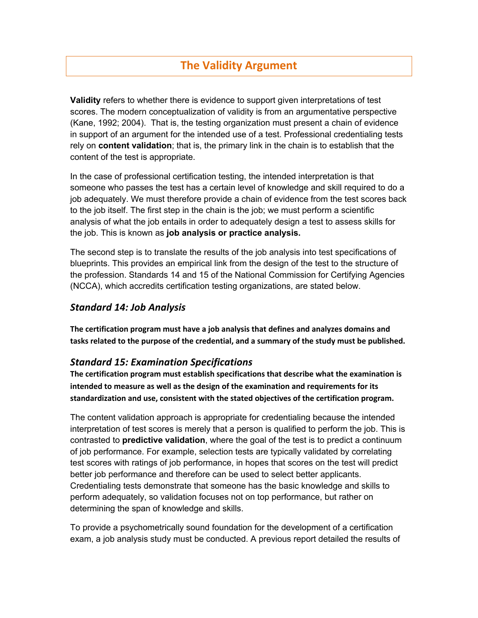# **The Validity Argument**

**Validity** refers to whether there is evidence to support given interpretations of test scores. The modern conceptualization of validity is from an argumentative perspective (Kane, 1992; 2004). That is, the testing organization must present a chain of evidence in support of an argument for the intended use of a test. Professional credentialing tests rely on **content validation**; that is, the primary link in the chain is to establish that the content of the test is appropriate.

In the case of professional certification testing, the intended interpretation is that someone who passes the test has a certain level of knowledge and skill required to do a job adequately. We must therefore provide a chain of evidence from the test scores back to the job itself. The first step in the chain is the job; we must perform a scientific analysis of what the job entails in order to adequately design a test to assess skills for the job. This is known as **job analysis or practice analysis.**

The second step is to translate the results of the job analysis into test specifications of blueprints. This provides an empirical link from the design of the test to the structure of the profession. Standards 14 and 15 of the National Commission for Certifying Agencies (NCCA), which accredits certification testing organizations, are stated below.

#### *Standard 14: Job Analysis*

**The certification program must have a job analysis that defines and analyzes domains and tasks related to the purpose of the credential, and a summary of the study must be published.**

#### *Standard 15: Examination Specifications*

**The certification program must establish specifications that describe what the examination is intended to measure as well as the design of the examination and requirements for its standardization and use, consistent with the stated objectives of the certification program.**

The content validation approach is appropriate for credentialing because the intended interpretation of test scores is merely that a person is qualified to perform the job. This is contrasted to **predictive validation**, where the goal of the test is to predict a continuum of job performance. For example, selection tests are typically validated by correlating test scores with ratings of job performance, in hopes that scores on the test will predict better job performance and therefore can be used to select better applicants. Credentialing tests demonstrate that someone has the basic knowledge and skills to perform adequately, so validation focuses not on top performance, but rather on determining the span of knowledge and skills.

To provide a psychometrically sound foundation for the development of a certification exam, a job analysis study must be conducted. A previous report detailed the results of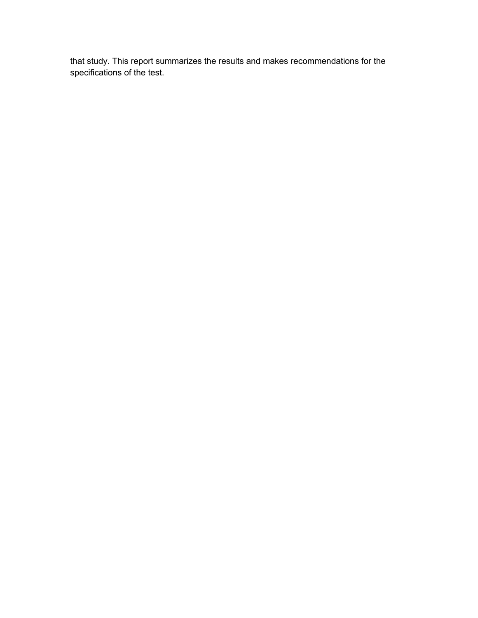that study. This report summarizes the results and makes recommendations for the specifications of the test.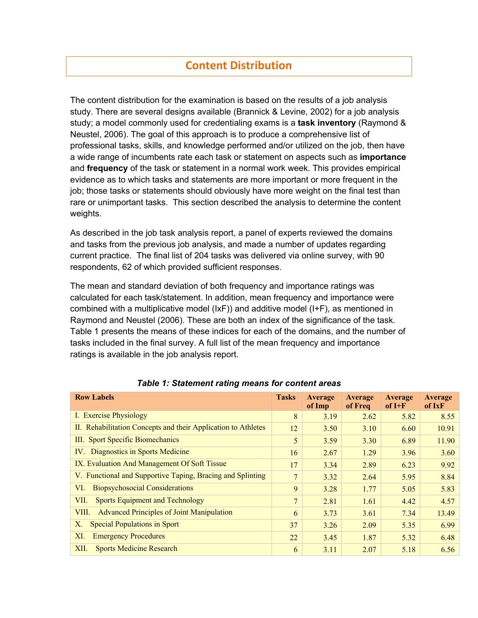# **Content Distribution**

The content distribution for the examination is based on the results of a job analysis study. There are several designs available (Brannick & Levine, 2002) for a job analysis study; a model commonly used for credentialing exams is a **task inventory** (Raymond & Neustel, 2006). The goal of this approach is to produce a comprehensive list of professional tasks, skills, and knowledge performed and/or utilized on the job, then have a wide range of incumbents rate each task or statement on aspects such as **importance** and **frequency** of the task or statement in a normal work week. This provides empirical evidence as to which tasks and statements are more important or more frequent in the job; those tasks or statements should obviously have more weight on the final test than rare or unimportant tasks. This section described the analysis to determine the content weights.

As described in the job task analysis report, a panel of experts reviewed the domains and tasks from the previous job analysis, and made a number of updates regarding current practice. The final list of 204 tasks was delivered via online survey, with 90 respondents, 62 of which provided sufficient responses.

The mean and standard deviation of both frequency and importance ratings was calculated for each task/statement. In addition, mean frequency and importance were combined with a multiplicative model (IxF)) and additive model (I+F), as mentioned in Raymond and Neustel (2006). These are both an index of the significance of the task. Table 1 presents the means of these indices for each of the domains, and the number of tasks included in the final survey. A full list of the mean frequency and importance ratings is available in the job analysis report.

| <b>Row Labels</b>                                             | <b>Tasks</b>   | Average<br>of Imp | Average<br>of Freq | Average<br>$of I+F$ | <b>Average</b><br>of IxF |
|---------------------------------------------------------------|----------------|-------------------|--------------------|---------------------|--------------------------|
| I. Exercise Physiology                                        | 8              | 3.19              | 2.62               | 5.82                | 8.55                     |
| II. Rehabilitation Concepts and their Application to Athletes | 12             | 3.50              | 3.10               | 6.60                | 10.91                    |
| III. Sport Specific Biomechanics                              | 5              | 3.59              | 3.30               | 6.89                | 11.90                    |
| IV. Diagnostics in Sports Medicine                            | 16             | 2.67              | 1.29               | 3.96                | 3.60                     |
| IX. Evaluation And Management Of Soft Tissue                  | 17             | 3.34              | 2.89               | 6.23                | 9.92                     |
| V. Functional and Supportive Taping, Bracing and Splinting    | 7              | 3.32              | 2.64               | 5.95                | 8.84                     |
| <b>Biopsychosocial Considerations</b><br>VI.                  | 9              | 3.28              | 1.77               | 5.05                | 5.83                     |
| <b>Sports Equipment and Technology</b><br>VII.                | $\overline{7}$ | 2.81              | 1.61               | 4.42                | 4.57                     |
| <b>Advanced Principles of Joint Manipulation</b><br>VIII.     | 6              | 3.73              | 3.61               | 7.34                | 13.49                    |
| <b>Special Populations in Sport</b><br>Χ.                     | 37             | 3.26              | 2.09               | 5.35                | 6.99                     |
| <b>Emergency Procedures</b><br>XI.                            | 22             | 3.45              | 1.87               | 5.32                | 6.48                     |
| <b>Sports Medicine Research</b><br>XII.                       | 6              | 3.11              | 2.07               | 5.18                | 6.56                     |

*Table 1: Statement rating means for content areas*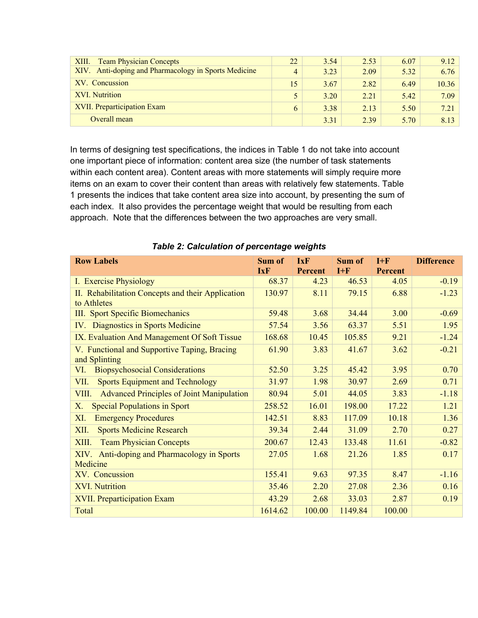| <b>Team Physician Concepts</b><br>XIII.              | 22 | 3.54 | 2.53 | 6.07 | 9.12  |
|------------------------------------------------------|----|------|------|------|-------|
| XIV. Anti-doping and Pharmacology in Sports Medicine | 4  | 3.23 | 2.09 | 5.32 | 6.76  |
| XV. Concussion                                       | 15 | 3.67 | 2.82 | 6.49 | 10.36 |
| XVI. Nutrition                                       |    | 3.20 | 2.21 | 5.42 | 7.09  |
| XVII. Preparticipation Exam                          | 6  | 3.38 | 2.13 | 5.50 | 7.21  |
| Overall mean                                         |    | 3.31 | 2.39 | 5.70 | 8.13  |

In terms of designing test specifications, the indices in Table 1 do not take into account one important piece of information: content area size (the number of task statements within each content area). Content areas with more statements will simply require more items on an exam to cover their content than areas with relatively few statements. Table 1 presents the indices that take content area size into account, by presenting the sum of each index. It also provides the percentage weight that would be resulting from each approach. Note that the differences between the two approaches are very small.

| <b>Row Labels</b>                                                | Sum of     | <b>IxF</b>     | Sum of  | $I + F$        | <b>Difference</b> |
|------------------------------------------------------------------|------------|----------------|---------|----------------|-------------------|
|                                                                  | <b>IxF</b> | <b>Percent</b> | $I + F$ | <b>Percent</b> |                   |
| I. Exercise Physiology                                           | 68.37      | 4.23           | 46.53   | 4.05           | $-0.19$           |
| II. Rehabilitation Concepts and their Application<br>to Athletes | 130.97     | 8.11           | 79.15   | 6.88           | $-1.23$           |
| III. Sport Specific Biomechanics                                 | 59.48      | 3.68           | 34.44   | 3.00           | $-0.69$           |
|                                                                  |            |                |         |                |                   |
| IV. Diagnostics in Sports Medicine                               | 57.54      | 3.56           | 63.37   | 5.51           | 1.95              |
| IX. Evaluation And Management Of Soft Tissue                     | 168.68     | 10.45          | 105.85  | 9.21           | $-1.24$           |
| V. Functional and Supportive Taping, Bracing<br>and Splinting    | 61.90      | 3.83           | 41.67   | 3.62           | $-0.21$           |
| <b>Biopsychosocial Considerations</b><br>VI.                     | 52.50      | 3.25           | 45.42   | 3.95           | 0.70              |
| <b>Sports Equipment and Technology</b><br>VII.                   | 31.97      | 1.98           | 30.97   | 2.69           | 0.71              |
| <b>Advanced Principles of Joint Manipulation</b><br>VIII.        | 80.94      | 5.01           | 44.05   | 3.83           | $-1.18$           |
| <b>Special Populations in Sport</b><br>X.                        | 258.52     | 16.01          | 198.00  | 17.22          | 1.21              |
| <b>Emergency Procedures</b><br>XI.                               | 142.51     | 8.83           | 117.09  | 10.18          | 1.36              |
| <b>Sports Medicine Research</b><br>XII.                          | 39.34      | 2.44           | 31.09   | 2.70           | 0.27              |
| <b>Team Physician Concepts</b><br>XIII.                          | 200.67     | 12.43          | 133.48  | 11.61          | $-0.82$           |
| Anti-doping and Pharmacology in Sports<br>XIV.<br>Medicine       | 27.05      | 1.68           | 21.26   | 1.85           | 0.17              |
| XV. Concussion                                                   | 155.41     | 9.63           | 97.35   | 8.47           | $-1.16$           |
| <b>XVI. Nutrition</b>                                            | 35.46      | 2.20           | 27.08   | 2.36           | 0.16              |
| <b>XVII. Preparticipation Exam</b>                               | 43.29      | 2.68           | 33.03   | 2.87           | 0.19              |
| Total                                                            | 1614.62    | 100.00         | 1149.84 | 100.00         |                   |

*Table 2: Calculation of percentage weights*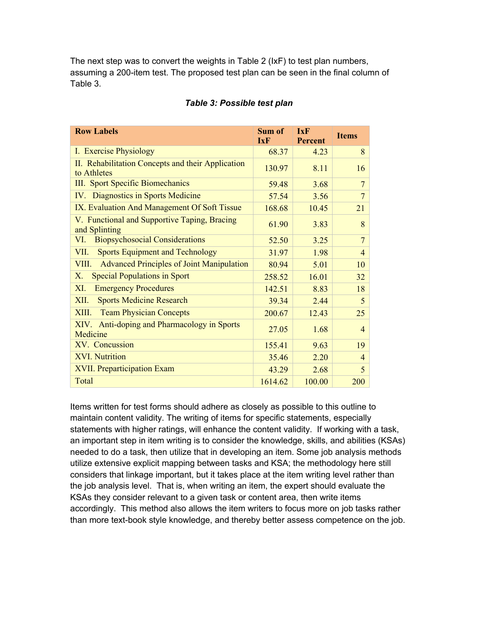The next step was to convert the weights in Table 2 (IxF) to test plan numbers, assuming a 200-item test. The proposed test plan can be seen in the final column of Table 3.

| <b>Row Labels</b>                                                | Sum of<br><b>IxF</b> | <b>IxF</b><br><b>Percent</b> | <b>Items</b>   |
|------------------------------------------------------------------|----------------------|------------------------------|----------------|
| I. Exercise Physiology                                           | 68.37                | 4.23                         | 8              |
| II. Rehabilitation Concepts and their Application<br>to Athletes | 130.97               | 8.11                         | 16             |
| III. Sport Specific Biomechanics                                 | 59.48                | 3.68                         | 7              |
| Diagnostics in Sports Medicine<br>IV.                            | 57.54                | 3.56                         | 7              |
| IX. Evaluation And Management Of Soft Tissue                     | 168.68               | 10.45                        | 21             |
| V. Functional and Supportive Taping, Bracing<br>and Splinting    | 61.90                | 3.83                         | 8              |
| <b>Biopsychosocial Considerations</b><br>VI.                     | 52.50                | 3.25                         | 7              |
| <b>Sports Equipment and Technology</b><br>VII.                   | 31.97                | 1.98                         | 4              |
| <b>Advanced Principles of Joint Manipulation</b><br>VIII.        | 80.94                | 5.01                         | 10             |
| <b>Special Populations in Sport</b><br>X.                        | 258.52               | 16.01                        | 32             |
| XI.<br><b>Emergency Procedures</b>                               | 142.51               | 8.83                         | 18             |
| <b>Sports Medicine Research</b><br>XII.                          | 39.34                | 2.44                         | 5              |
| <b>Team Physician Concepts</b><br>XIII.                          | 200.67               | 12.43                        | 25             |
| Anti-doping and Pharmacology in Sports<br>XIV.<br>Medicine       | 27.05                | 1.68                         | $\overline{4}$ |
| XV. Concussion                                                   | 155.41               | 9.63                         | 19             |
| <b>XVI. Nutrition</b>                                            | 35.46                | 2.20                         | $\overline{4}$ |
| <b>XVII. Preparticipation Exam</b>                               | 43.29                | 2.68                         | 5              |
| Total                                                            | 1614.62              | 100.00                       | 200            |

#### *Table 3: Possible test plan*

Items written for test forms should adhere as closely as possible to this outline to maintain content validity. The writing of items for specific statements, especially statements with higher ratings, will enhance the content validity. If working with a task, an important step in item writing is to consider the knowledge, skills, and abilities (KSAs) needed to do a task, then utilize that in developing an item. Some job analysis methods utilize extensive explicit mapping between tasks and KSA; the methodology here still considers that linkage important, but it takes place at the item writing level rather than the job analysis level. That is, when writing an item, the expert should evaluate the KSAs they consider relevant to a given task or content area, then write items accordingly. This method also allows the item writers to focus more on job tasks rather than more text-book style knowledge, and thereby better assess competence on the job.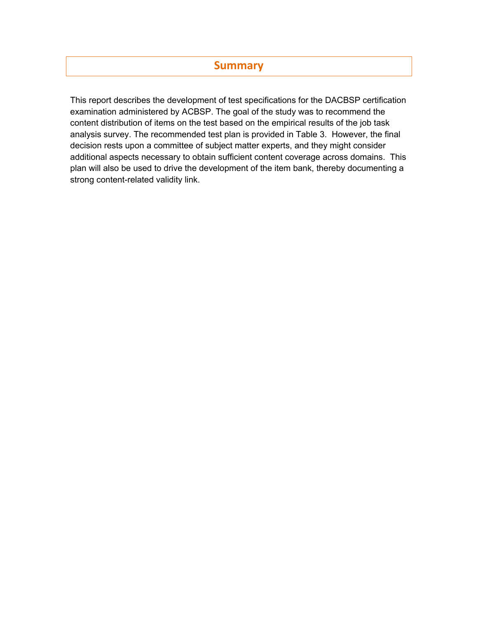## **Summary**

This report describes the development of test specifications for the DACBSP certification examination administered by ACBSP. The goal of the study was to recommend the content distribution of items on the test based on the empirical results of the job task analysis survey. The recommended test plan is provided in Table 3. However, the final decision rests upon a committee of subject matter experts, and they might consider additional aspects necessary to obtain sufficient content coverage across domains. This plan will also be used to drive the development of the item bank, thereby documenting a strong content-related validity link.